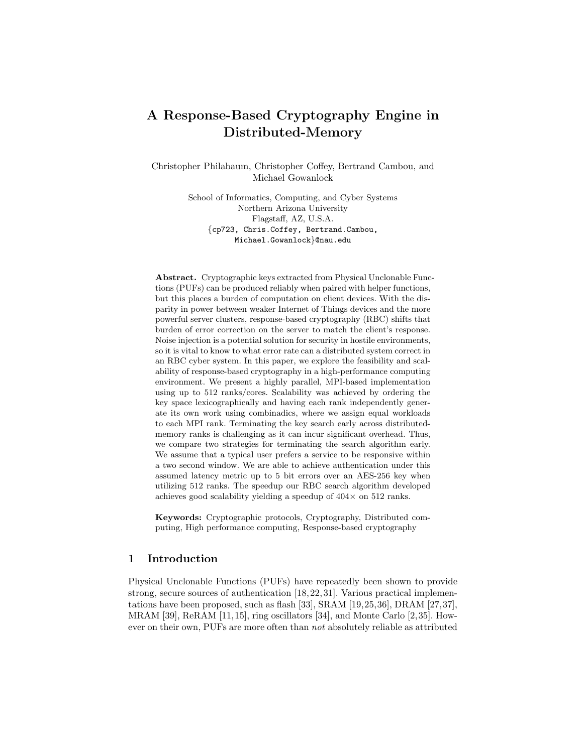# A Response-Based Cryptography Engine in Distributed-Memory

Christopher Philabaum, Christopher Coffey, Bertrand Cambou, and Michael Gowanlock

> School of Informatics, Computing, and Cyber Systems Northern Arizona University Flagstaff, AZ, U.S.A. {cp723, Chris.Coffey, Bertrand.Cambou, Michael.Gowanlock}@nau.edu

Abstract. Cryptographic keys extracted from Physical Unclonable Functions (PUFs) can be produced reliably when paired with helper functions, but this places a burden of computation on client devices. With the disparity in power between weaker Internet of Things devices and the more powerful server clusters, response-based cryptography (RBC) shifts that burden of error correction on the server to match the client's response. Noise injection is a potential solution for security in hostile environments, so it is vital to know to what error rate can a distributed system correct in an RBC cyber system. In this paper, we explore the feasibility and scalability of response-based cryptography in a high-performance computing environment. We present a highly parallel, MPI-based implementation using up to 512 ranks/cores. Scalability was achieved by ordering the key space lexicographically and having each rank independently generate its own work using combinadics, where we assign equal workloads to each MPI rank. Terminating the key search early across distributedmemory ranks is challenging as it can incur significant overhead. Thus, we compare two strategies for terminating the search algorithm early. We assume that a typical user prefers a service to be responsive within a two second window. We are able to achieve authentication under this assumed latency metric up to 5 bit errors over an AES-256 key when utilizing 512 ranks. The speedup our RBC search algorithm developed achieves good scalability yielding a speedup of  $404 \times$  on 512 ranks.

Keywords: Cryptographic protocols, Cryptography, Distributed computing, High performance computing, Response-based cryptography

# <span id="page-0-0"></span>1 Introduction

Physical Unclonable Functions (PUFs) have repeatedly been shown to provide strong, secure sources of authentication [\[18,](#page-16-0)[22,](#page-17-0)[31\]](#page-17-1). Various practical implementations have been proposed, such as flash [\[33\]](#page-17-2), SRAM [\[19,](#page-17-3)[25,](#page-17-4)[36\]](#page-18-0), DRAM [\[27,](#page-17-5)[37\]](#page-18-1), MRAM [\[39\]](#page-18-2), ReRAM [\[11,](#page-16-1)[15\]](#page-16-2), ring oscillators [\[34\]](#page-17-6), and Monte Carlo [\[2,](#page-15-0)[35\]](#page-18-3). However on their own, PUFs are more often than not absolutely reliable as attributed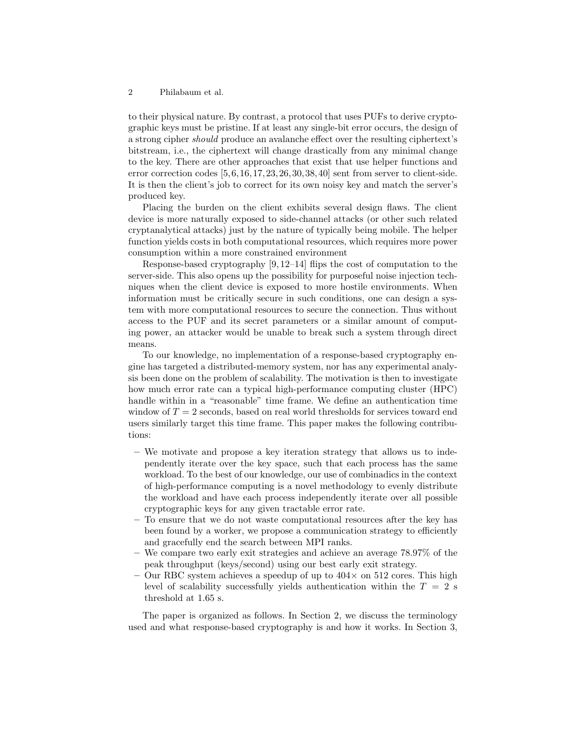to their physical nature. By contrast, a protocol that uses PUFs to derive cryptographic keys must be pristine. If at least any single-bit error occurs, the design of a strong cipher should produce an avalanche effect over the resulting ciphertext's bitstream, i.e., the ciphertext will change drastically from any minimal change to the key. There are other approaches that exist that use helper functions and error correction codes [\[5,](#page-16-3)[6,](#page-16-4)[16,](#page-16-5)[17,](#page-16-6)[23,](#page-17-7)[26,](#page-17-8)[30,](#page-17-9)[38,](#page-18-4)[40\]](#page-18-5) sent from server to client-side. It is then the client's job to correct for its own noisy key and match the server's produced key.

Placing the burden on the client exhibits several design flaws. The client device is more naturally exposed to side-channel attacks (or other such related cryptanalytical attacks) just by the nature of typically being mobile. The helper function yields costs in both computational resources, which requires more power consumption within a more constrained environment

Response-based cryptography [\[9,](#page-16-7) [12](#page-16-8)[–14\]](#page-16-9) flips the cost of computation to the server-side. This also opens up the possibility for purposeful noise injection techniques when the client device is exposed to more hostile environments. When information must be critically secure in such conditions, one can design a system with more computational resources to secure the connection. Thus without access to the PUF and its secret parameters or a similar amount of computing power, an attacker would be unable to break such a system through direct means.

To our knowledge, no implementation of a response-based cryptography engine has targeted a distributed-memory system, nor has any experimental analysis been done on the problem of scalability. The motivation is then to investigate how much error rate can a typical high-performance computing cluster (HPC) handle within in a "reasonable" time frame. We define an authentication time window of  $T = 2$  seconds, based on real world thresholds for services toward end users similarly target this time frame. This paper makes the following contributions:

- We motivate and propose a key iteration strategy that allows us to independently iterate over the key space, such that each process has the same workload. To the best of our knowledge, our use of combinadics in the context of high-performance computing is a novel methodology to evenly distribute the workload and have each process independently iterate over all possible cryptographic keys for any given tractable error rate.
- To ensure that we do not waste computational resources after the key has been found by a worker, we propose a communication strategy to efficiently and gracefully end the search between MPI ranks.
- We compare two early exit strategies and achieve an average 78.97% of the peak throughput (keys/second) using our best early exit strategy.
- Our RBC system achieves a speedup of up to  $404 \times$  on 512 cores. This high level of scalability successfully yields authentication within the  $T = 2$  s threshold at 1.65 s.

The paper is organized as follows. In Section [2,](#page-2-0) we discuss the terminology used and what response-based cryptography is and how it works. In Section [3,](#page-5-0)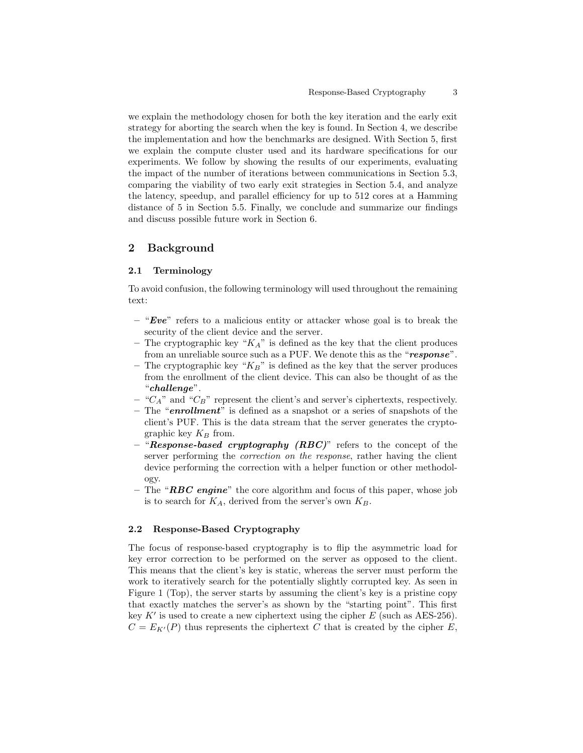we explain the methodology chosen for both the key iteration and the early exit strategy for aborting the search when the key is found. In Section [4,](#page-9-0) we describe the implementation and how the benchmarks are designed. With Section [5,](#page-9-1) first we explain the compute cluster used and its hardware specifications for our experiments. We follow by showing the results of our experiments, evaluating the impact of the number of iterations between communications in Section [5.3,](#page-11-0) comparing the viability of two early exit strategies in Section [5.4,](#page-12-0) and analyze the latency, speedup, and parallel efficiency for up to 512 cores at a Hamming distance of 5 in Section [5.5.](#page-13-0) Finally, we conclude and summarize our findings and discuss possible future work in Section [6.](#page-15-1)

# <span id="page-2-0"></span>2 Background

## 2.1 Terminology

To avoid confusion, the following terminology will used throughout the remaining text:

- $-$  "Eve" refers to a malicious entity or attacker whose goal is to break the security of the client device and the server.
- The cryptographic key " $K_A$ " is defined as the key that the client produces from an unreliable source such as a PUF. We denote this as the "response".
- The cryptographic key " $K_B$ " is defined as the key that the server produces from the enrollment of the client device. This can also be thought of as the "challenge".
- " $C_A$ " and " $C_B$ " represent the client's and server's ciphertexts, respectively.
- The "enrollment" is defined as a snapshot or a series of snapshots of the client's PUF. This is the data stream that the server generates the cryptographic key  $K_B$  from.
- $-$  "Response-based cryptography (RBC)" refers to the concept of the server performing the correction on the response, rather having the client device performing the correction with a helper function or other methodology.
- The " $RBC \text{ engine}$ " the core algorithm and focus of this paper, whose job is to search for  $K_A$ , derived from the server's own  $K_B$ .

## 2.2 Response-Based Cryptography

The focus of response-based cryptography is to flip the asymmetric load for key error correction to be performed on the server as opposed to the client. This means that the client's key is static, whereas the server must perform the work to iteratively search for the potentially slightly corrupted key. As seen in Figure [1](#page-3-0) (Top), the server starts by assuming the client's key is a pristine copy that exactly matches the server's as shown by the "starting point". This first key  $K'$  is used to create a new ciphertext using the cipher  $E$  (such as AES-256).  $C = E_{K'}(P)$  thus represents the ciphertext C that is created by the cipher E,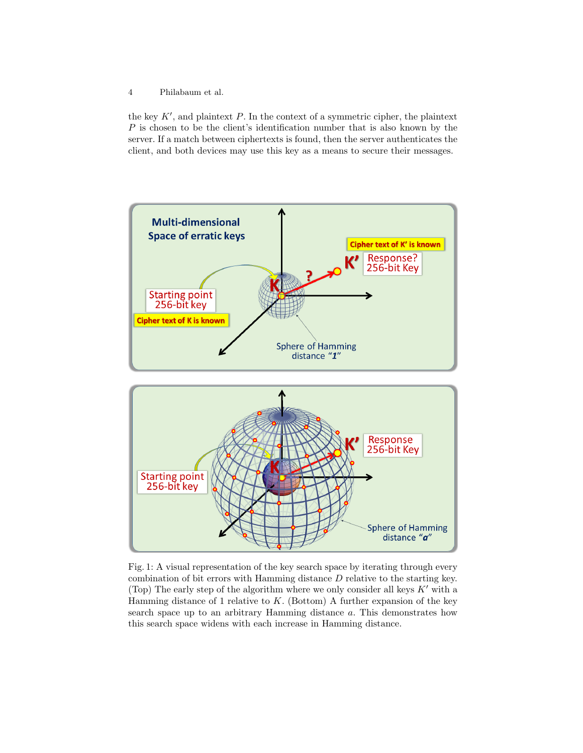the key  $K'$ , and plaintext  $P$ . In the context of a symmetric cipher, the plaintext P is chosen to be the client's identification number that is also known by the server. If a match between ciphertexts is found, then the server authenticates the client, and both devices may use this key as a means to secure their messages.

<span id="page-3-0"></span>

Fig. 1: A visual representation of the key search space by iterating through every combination of bit errors with Hamming distance D relative to the starting key. (Top) The early step of the algorithm where we only consider all keys  $K'$  with a Hamming distance of 1 relative to  $K$ . (Bottom) A further expansion of the key search space up to an arbitrary Hamming distance a. This demonstrates how this search space widens with each increase in Hamming distance.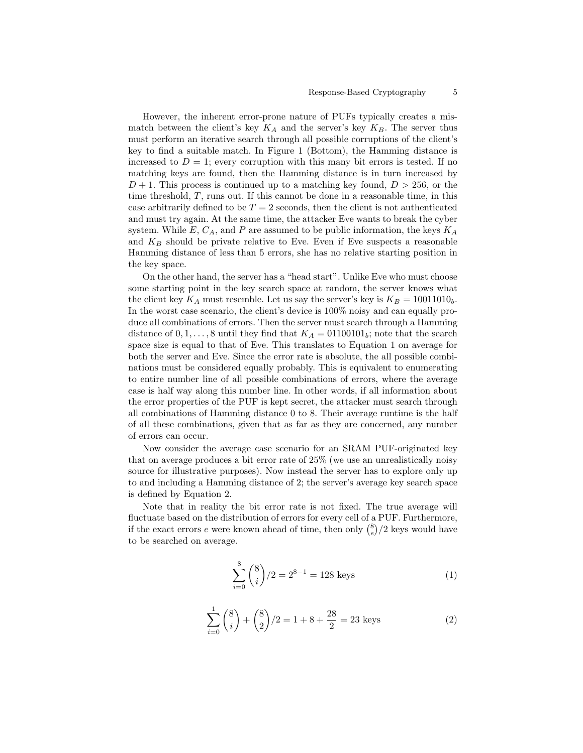#### Response-Based Cryptography 5

However, the inherent error-prone nature of PUFs typically creates a mismatch between the client's key  $K_A$  and the server's key  $K_B$ . The server thus must perform an iterative search through all possible corruptions of the client's key to find a suitable match. In Figure [1](#page-3-0) (Bottom), the Hamming distance is increased to  $D = 1$ ; every corruption with this many bit errors is tested. If no matching keys are found, then the Hamming distance is in turn increased by  $D+1$ . This process is continued up to a matching key found,  $D > 256$ , or the time threshold, T, runs out. If this cannot be done in a reasonable time, in this case arbitrarily defined to be  $T = 2$  seconds, then the client is not authenticated and must try again. At the same time, the attacker Eve wants to break the cyber system. While  $E, C_A$ , and P are assumed to be public information, the keys  $K_A$ and  $K_B$  should be private relative to Eve. Even if Eve suspects a reasonable Hamming distance of less than 5 errors, she has no relative starting position in the key space.

On the other hand, the server has a "head start". Unlike Eve who must choose some starting point in the key search space at random, the server knows what the client key  $K_A$  must resemble. Let us say the server's key is  $K_B = 10011010_b$ . In the worst case scenario, the client's device is 100% noisy and can equally produce all combinations of errors. Then the server must search through a Hamming distance of  $0, 1, \ldots, 8$  until they find that  $K_A = 01100101_b$ ; note that the search space size is equal to that of Eve. This translates to Equation [1](#page-4-0) on average for both the server and Eve. Since the error rate is absolute, the all possible combinations must be considered equally probably. This is equivalent to enumerating to entire number line of all possible combinations of errors, where the average case is half way along this number line. In other words, if all information about the error properties of the PUF is kept secret, the attacker must search through all combinations of Hamming distance 0 to 8. Their average runtime is the half of all these combinations, given that as far as they are concerned, any number of errors can occur.

Now consider the average case scenario for an SRAM PUF-originated key that on average produces a bit error rate of 25% (we use an unrealistically noisy source for illustrative purposes). Now instead the server has to explore only up to and including a Hamming distance of 2; the server's average key search space is defined by Equation [2.](#page-4-1)

Note that in reality the bit error rate is not fixed. The true average will fluctuate based on the distribution of errors for every cell of a PUF. Furthermore, if the exact errors  $e$  were known ahead of time, then only  $\binom{8}{e}/2$  keys would have to be searched on average.

<span id="page-4-0"></span>
$$
\sum_{i=0}^{8} \binom{8}{i} / 2 = 2^{8-1} = 128 \text{ keys}
$$
 (1)

<span id="page-4-1"></span>
$$
\sum_{i=0}^{1} {8 \choose i} + {8 \choose 2} / 2 = 1 + 8 + \frac{28}{2} = 23 \text{ keys}
$$
 (2)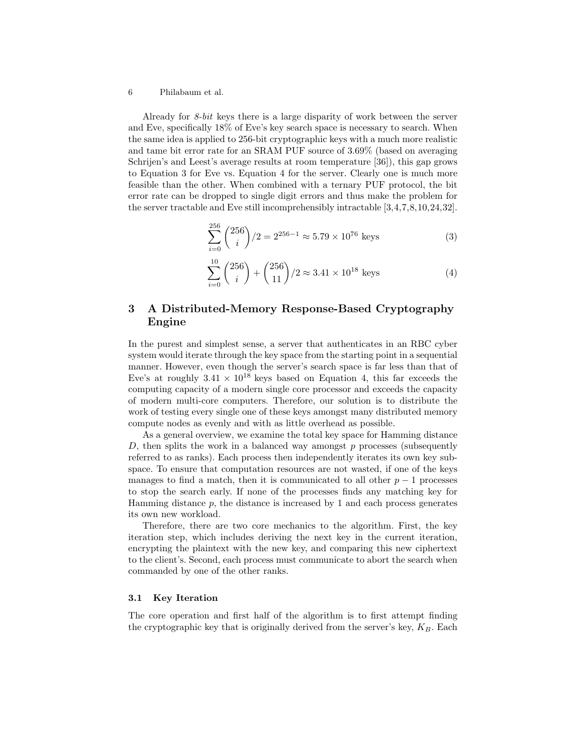Already for 8-bit keys there is a large disparity of work between the server and Eve, specifically 18% of Eve's key search space is necessary to search. When the same idea is applied to 256-bit cryptographic keys with a much more realistic and tame bit error rate for an SRAM PUF source of 3.69% (based on averaging Schrijen's and Leest's average results at room temperature [\[36\]](#page-18-0)), this gap grows to Equation [3](#page-5-1) for Eve vs. Equation [4](#page-5-2) for the server. Clearly one is much more feasible than the other. When combined with a ternary PUF protocol, the bit error rate can be dropped to single digit errors and thus make the problem for the server tractable and Eve still incomprehensibly intractable [\[3,](#page-16-10)[4,](#page-16-11)[7,](#page-16-12)[8,](#page-16-13)[10,](#page-16-14)[24,](#page-17-10)[32\]](#page-17-11).

<span id="page-5-1"></span>
$$
\sum_{i=0}^{256} \binom{256}{i} / 2 = 2^{256 - 1} \approx 5.79 \times 10^{76} \text{ keys}
$$
 (3)

<span id="page-5-2"></span>
$$
\sum_{i=0}^{10} {256 \choose i} + {256 \choose 11} / 2 \approx 3.41 \times 10^{18} \text{ keys}
$$
 (4)

# <span id="page-5-0"></span>3 A Distributed-Memory Response-Based Cryptography Engine

In the purest and simplest sense, a server that authenticates in an RBC cyber system would iterate through the key space from the starting point in a sequential manner. However, even though the server's search space is far less than that of Eve's at roughly  $3.41 \times 10^{18}$  keys based on Equation [4,](#page-5-2) this far exceeds the computing capacity of a modern single core processor and exceeds the capacity of modern multi-core computers. Therefore, our solution is to distribute the work of testing every single one of these keys amongst many distributed memory compute nodes as evenly and with as little overhead as possible.

As a general overview, we examine the total key space for Hamming distance D, then splits the work in a balanced way amongst  $p$  processes (subsequently referred to as ranks). Each process then independently iterates its own key subspace. To ensure that computation resources are not wasted, if one of the keys manages to find a match, then it is communicated to all other  $p-1$  processes to stop the search early. If none of the processes finds any matching key for Hamming distance  $p$ , the distance is increased by 1 and each process generates its own new workload.

Therefore, there are two core mechanics to the algorithm. First, the key iteration step, which includes deriving the next key in the current iteration, encrypting the plaintext with the new key, and comparing this new ciphertext to the client's. Second, each process must communicate to abort the search when commanded by one of the other ranks.

## <span id="page-5-3"></span>3.1 Key Iteration

The core operation and first half of the algorithm is to first attempt finding the cryptographic key that is originally derived from the server's key,  $K_B$ . Each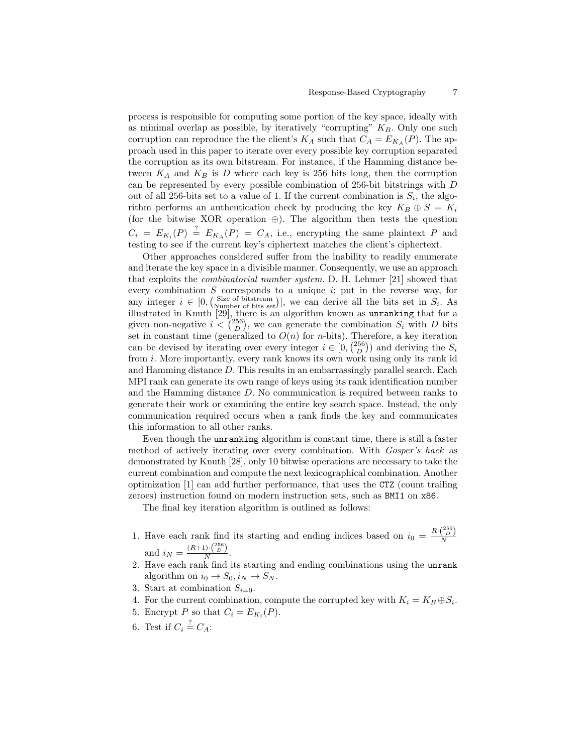process is responsible for computing some portion of the key space, ideally with as minimal overlap as possible, by iteratively "corrupting"  $K_B$ . Only one such corruption can reproduce the the client's  $K_A$  such that  $C_A = E_{K_A}(P)$ . The approach used in this paper to iterate over every possible key corruption separated the corruption as its own bitstream. For instance, if the Hamming distance between  $K_A$  and  $K_B$  is D where each key is 256 bits long, then the corruption can be represented by every possible combination of 256-bit bitstrings with D out of all 256-bits set to a value of 1. If the current combination is  $S_i$ , the algorithm performs an authentication check by producing the key  $K_B \oplus S = K_i$ (for the bitwise XOR operation ⊕). The algorithm then tests the question  $C_i = E_{K_i}(P) \stackrel{?}{=} E_{K_A}(P) = C_A$ , i.e., encrypting the same plaintext P and testing to see if the current key's ciphertext matches the client's ciphertext.

Other approaches considered suffer from the inability to readily enumerate and iterate the key space in a divisible manner. Consequently, we use an approach that exploits the combinatorial number system. D. H. Lehmer [\[21\]](#page-17-12) showed that every combination S corresponds to a unique  $i$ ; put in the reverse way, for any integer  $i \in [0, \binom{\text{Size of bitstream}}{\text{Number of bits set}}]$ , we can derive all the bits set in  $S_i$ . As illustrated in Knuth [\[29\]](#page-17-13), there is an algorithm known as unranking that for a given non-negative  $i < \binom{256}{D}$ , we can generate the combination  $S_i$  with D bits set in constant time (generalized to  $O(n)$  for *n*-bits). Therefore, a key iteration can be devised by iterating over every integer  $i \in [0, \binom{256}{D})$  and deriving the  $S_i$ from i. More importantly, every rank knows its own work using only its rank id and Hamming distance D. This results in an embarrassingly parallel search. Each MPI rank can generate its own range of keys using its rank identification number and the Hamming distance D. No communication is required between ranks to generate their work or examining the entire key search space. Instead, the only communication required occurs when a rank finds the key and communicates this information to all other ranks.

Even though the unranking algorithm is constant time, there is still a faster method of actively iterating over every combination. With Gosper's hack as demonstrated by Knuth [\[28\]](#page-17-14), only 10 bitwise operations are necessary to take the current combination and compute the next lexicographical combination. Another optimization [\[1\]](#page-15-2) can add further performance, that uses the CTZ (count trailing zeroes) instruction found on modern instruction sets, such as BMI1 on x86.

The final key iteration algorithm is outlined as follows:

- 1. Have each rank find its starting and ending indices based on  $i_0 = \frac{R \cdot {256}}{N}$ and  $i_N = \frac{(R+1) \cdot {256 \choose D}}{N}$ .
- 2. Have each rank find its starting and ending combinations using the unrank algorithm on  $i_0 \rightarrow S_0, i_N \rightarrow S_N$ .
- 3. Start at combination  $S_{i=0}$ .
- <span id="page-6-0"></span>4. For the current combination, compute the corrupted key with  $K_i = K_B \oplus S_i$ .
- 5. Encrypt P so that  $C_i = E_{K_i}(P)$ .
- 6. Test if  $C_i \stackrel{?}{=} C_A$ :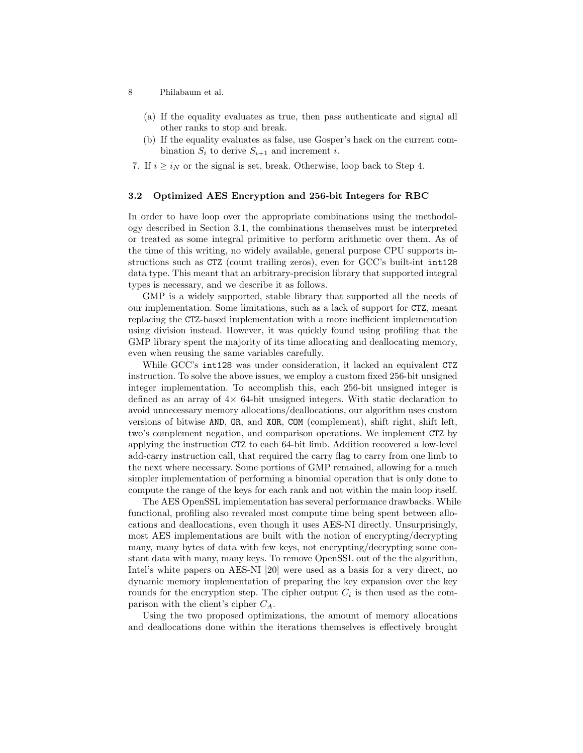- 8 Philabaum et al.
	- (a) If the equality evaluates as true, then pass authenticate and signal all other ranks to stop and break.
	- (b) If the equality evaluates as false, use Gosper's hack on the current combination  $S_i$  to derive  $S_{i+1}$  and increment i.
- 7. If  $i \geq i_N$  or the signal is set, break. Otherwise, loop back to Step [4.](#page-6-0)

## <span id="page-7-0"></span>3.2 Optimized AES Encryption and 256-bit Integers for RBC

In order to have loop over the appropriate combinations using the methodology described in Section [3.1,](#page-5-3) the combinations themselves must be interpreted or treated as some integral primitive to perform arithmetic over them. As of the time of this writing, no widely available, general purpose CPU supports instructions such as CTZ (count trailing zeros), even for GCC's built-int int128 data type. This meant that an arbitrary-precision library that supported integral types is necessary, and we describe it as follows.

GMP is a widely supported, stable library that supported all the needs of our implementation. Some limitations, such as a lack of support for CTZ, meant replacing the CTZ-based implementation with a more inefficient implementation using division instead. However, it was quickly found using profiling that the GMP library spent the majority of its time allocating and deallocating memory, even when reusing the same variables carefully.

While GCC's int128 was under consideration, it lacked an equivalent CTZ instruction. To solve the above issues, we employ a custom fixed 256-bit unsigned integer implementation. To accomplish this, each 256-bit unsigned integer is defined as an array of 4× 64-bit unsigned integers. With static declaration to avoid unnecessary memory allocations/deallocations, our algorithm uses custom versions of bitwise AND, OR, and XOR, COM (complement), shift right, shift left, two's complement negation, and comparison operations. We implement CTZ by applying the instruction CTZ to each 64-bit limb. Addition recovered a low-level add-carry instruction call, that required the carry flag to carry from one limb to the next where necessary. Some portions of GMP remained, allowing for a much simpler implementation of performing a binomial operation that is only done to compute the range of the keys for each rank and not within the main loop itself.

The AES OpenSSL implementation has several performance drawbacks. While functional, profiling also revealed most compute time being spent between allocations and deallocations, even though it uses AES-NI directly. Unsurprisingly, most AES implementations are built with the notion of encrypting/decrypting many, many bytes of data with few keys, not encrypting/decrypting some constant data with many, many keys. To remove OpenSSL out of the the algorithm, Intel's white papers on AES-NI [\[20\]](#page-17-15) were used as a basis for a very direct, no dynamic memory implementation of preparing the key expansion over the key rounds for the encryption step. The cipher output  $C_i$  is then used as the comparison with the client's cipher  $C_A$ .

Using the two proposed optimizations, the amount of memory allocations and deallocations done within the iterations themselves is effectively brought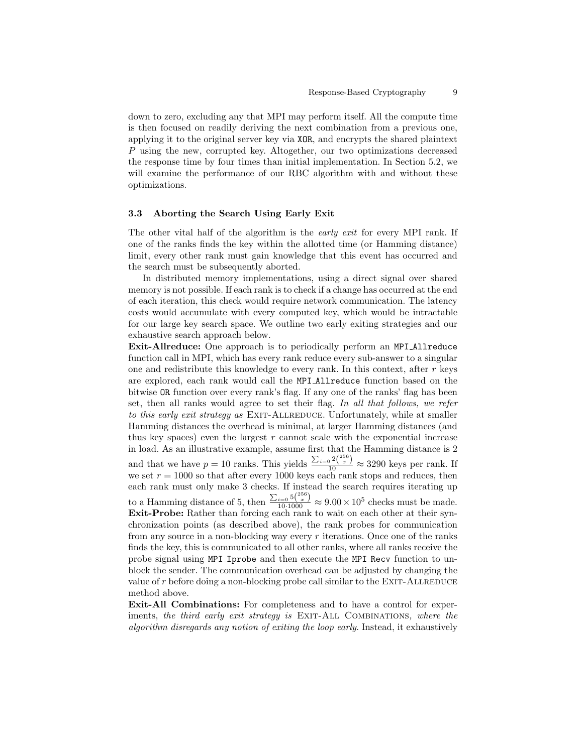down to zero, excluding any that MPI may perform itself. All the compute time is then focused on readily deriving the next combination from a previous one, applying it to the original server key via XOR, and encrypts the shared plaintext P using the new, corrupted key. Altogether, our two optimizations decreased the response time by four times than initial implementation. In Section [5.2,](#page-10-0) we will examine the performance of our RBC algorithm with and without these optimizations.

## 3.3 Aborting the Search Using Early Exit

The other vital half of the algorithm is the *early exit* for every MPI rank. If one of the ranks finds the key within the allotted time (or Hamming distance) limit, every other rank must gain knowledge that this event has occurred and the search must be subsequently aborted.

In distributed memory implementations, using a direct signal over shared memory is not possible. If each rank is to check if a change has occurred at the end of each iteration, this check would require network communication. The latency costs would accumulate with every computed key, which would be intractable for our large key search space. We outline two early exiting strategies and our exhaustive search approach below.

Exit-Allreduce: One approach is to periodically perform an MPI Allreduce function call in MPI, which has every rank reduce every sub-answer to a singular one and redistribute this knowledge to every rank. In this context, after  $r$  keys are explored, each rank would call the MPI Allreduce function based on the bitwise OR function over every rank's flag. If any one of the ranks' flag has been set, then all ranks would agree to set their flag. In all that follows, we refer to this early exit strategy as EXIT-ALLREDUCE. Unfortunately, while at smaller Hamming distances the overhead is minimal, at larger Hamming distances (and thus key spaces) even the largest  $r$  cannot scale with the exponential increase in load. As an illustrative example, assume first that the Hamming distance is 2 and that we have  $p = 10$  ranks. This yields  $\frac{\sum_{i=0}^{n} 2\binom{256}{x}}{10} \approx 3290$  keys per rank. If we set  $r = 1000$  so that after every 1000 keys each rank stops and reduces, then each rank must only make 3 checks. If instead the search requires iterating up to a Hamming distance of 5, then  $\frac{\sum_{i=0}^{5\binom{256}{x}}}{10\cdot1000} \approx 9.00 \times 10^5$  checks must be made. Exit-Probe: Rather than forcing each rank to wait on each other at their synchronization points (as described above), the rank probes for communication from any source in a non-blocking way every  $r$  iterations. Once one of the ranks finds the key, this is communicated to all other ranks, where all ranks receive the probe signal using MPI Iprobe and then execute the MPI Recv function to unblock the sender. The communication overhead can be adjusted by changing the value of r before doing a non-blocking probe call similar to the EXIT-ALLREDUCE method above.

Exit-All Combinations: For completeness and to have a control for experiments, the third early exit strategy is EXIT-ALL COMBINATIONS, where the algorithm disregards any notion of exiting the loop early. Instead, it exhaustively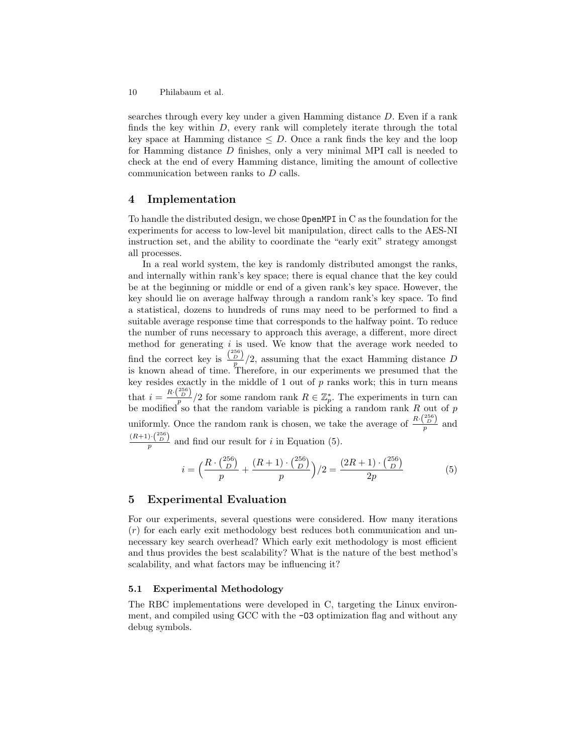searches through every key under a given Hamming distance D. Even if a rank finds the key within  $D$ , every rank will completely iterate through the total key space at Hamming distance  $\leq D$ . Once a rank finds the key and the loop for Hamming distance D finishes, only a very minimal MPI call is needed to check at the end of every Hamming distance, limiting the amount of collective communication between ranks to D calls.

## <span id="page-9-0"></span>4 Implementation

To handle the distributed design, we chose OpenMPI in C as the foundation for the experiments for access to low-level bit manipulation, direct calls to the AES-NI instruction set, and the ability to coordinate the "early exit" strategy amongst all processes.

In a real world system, the key is randomly distributed amongst the ranks, and internally within rank's key space; there is equal chance that the key could be at the beginning or middle or end of a given rank's key space. However, the key should lie on average halfway through a random rank's key space. To find a statistical, dozens to hundreds of runs may need to be performed to find a suitable average response time that corresponds to the halfway point. To reduce the number of runs necessary to approach this average, a different, more direct method for generating  $i$  is used. We know that the average work needed to find the correct key is  $\frac{\binom{256}{D}}{p}$  /2, assuming that the exact Hamming distance D is known ahead of time. Therefore, in our experiments we presumed that the key resides exactly in the middle of  $1$  out of  $p$  ranks work; this in turn means that  $i = \frac{R \cdot {256 \choose p}}{p}$  for some random rank  $R \in \mathbb{Z}_p^*$ . The experiments in turn can be modified so that the random variable is picking a random rank  $R$  out of  $p$ uniformly. Once the random rank is chosen, we take the average of  $\frac{R \cdot {256 \choose D}}{p}$  and  $\frac{(R+1)\cdot\binom{256}{D}}{p}$  and find our result for *i* in Equation [\(5\)](#page-9-2).

<span id="page-9-2"></span>
$$
i = \left(\frac{R \cdot {256 \choose D}}{p} + \frac{(R+1) \cdot {256 \choose D}}{p}\right) / 2 = \frac{(2R+1) \cdot {256 \choose D}}{2p} \tag{5}
$$

# <span id="page-9-1"></span>5 Experimental Evaluation

For our experiments, several questions were considered. How many iterations  $(r)$  for each early exit methodology best reduces both communication and unnecessary key search overhead? Which early exit methodology is most efficient and thus provides the best scalability? What is the nature of the best method's scalability, and what factors may be influencing it?

## 5.1 Experimental Methodology

The RBC implementations were developed in C, targeting the Linux environment, and compiled using GCC with the  $-03$  optimization flag and without any debug symbols.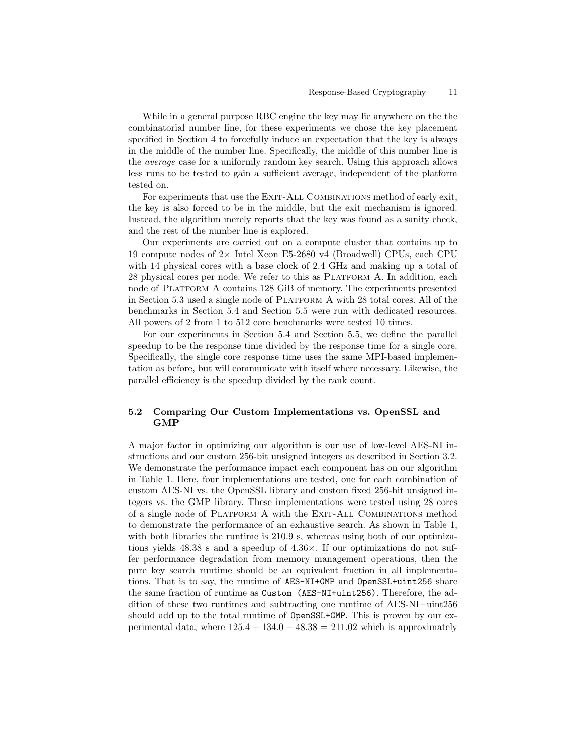While in a general purpose RBC engine the key may lie anywhere on the the combinatorial number line, for these experiments we chose the key placement specified in Section [4](#page-9-0) to forcefully induce an expectation that the key is always in the middle of the number line. Specifically, the middle of this number line is the average case for a uniformly random key search. Using this approach allows less runs to be tested to gain a sufficient average, independent of the platform tested on.

For experiments that use the EXIT-ALL COMBINATIONS method of early exit, the key is also forced to be in the middle, but the exit mechanism is ignored. Instead, the algorithm merely reports that the key was found as a sanity check, and the rest of the number line is explored.

Our experiments are carried out on a compute cluster that contains up to 19 compute nodes of  $2 \times$  Intel Xeon E5-2680 v4 (Broadwell) CPUs, each CPU with 14 physical cores with a base clock of 2.4 GHz and making up a total of 28 physical cores per node. We refer to this as PLATFORM A. In addition, each node of Platform A contains 128 GiB of memory. The experiments presented in Section [5.3](#page-11-0) used a single node of Platform A with 28 total cores. All of the benchmarks in Section [5.4](#page-12-0) and Section [5.5](#page-13-0) were run with dedicated resources. All powers of 2 from 1 to 512 core benchmarks were tested 10 times.

For our experiments in Section [5.4](#page-12-0) and Section [5.5,](#page-13-0) we define the parallel speedup to be the response time divided by the response time for a single core. Specifically, the single core response time uses the same MPI-based implementation as before, but will communicate with itself where necessary. Likewise, the parallel efficiency is the speedup divided by the rank count.

# <span id="page-10-0"></span>5.2 Comparing Our Custom Implementations vs. OpenSSL and GMP

A major factor in optimizing our algorithm is our use of low-level AES-NI instructions and our custom 256-bit unsigned integers as described in Section [3.2.](#page-7-0) We demonstrate the performance impact each component has on our algorithm in Table [1.](#page-11-1) Here, four implementations are tested, one for each combination of custom AES-NI vs. the OpenSSL library and custom fixed 256-bit unsigned integers vs. the GMP library. These implementations were tested using 28 cores of a single node of Platform A with the Exit-All Combinations method to demonstrate the performance of an exhaustive search. As shown in Table [1,](#page-11-1) with both libraries the runtime is 210.9 s, whereas using both of our optimizations yields 48.38 s and a speedup of 4.36×. If our optimizations do not suffer performance degradation from memory management operations, then the pure key search runtime should be an equivalent fraction in all implementations. That is to say, the runtime of AES-NI+GMP and OpenSSL+uint256 share the same fraction of runtime as Custom (AES-NI+uint256). Therefore, the addition of these two runtimes and subtracting one runtime of AES-NI+uint256 should add up to the total runtime of OpenSSL+GMP. This is proven by our experimental data, where  $125.4 + 134.0 - 48.38 = 211.02$  which is approximately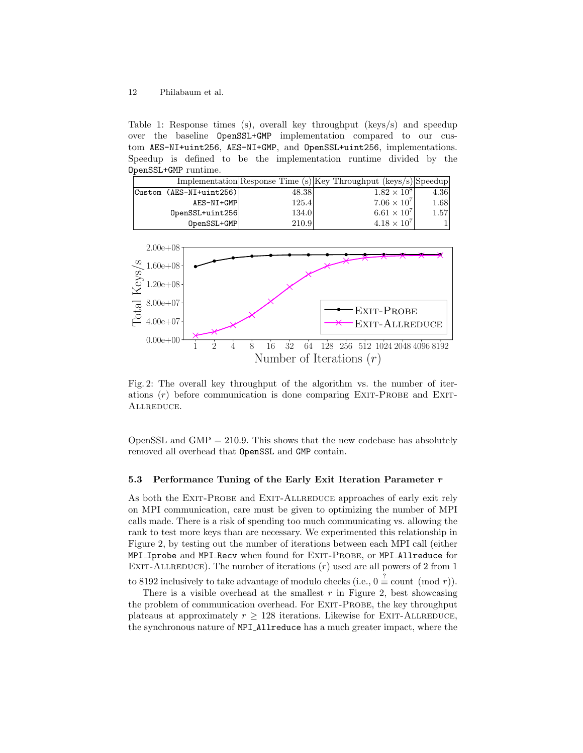<span id="page-11-1"></span>Table 1: Response times (s), overall key throughput (keys/s) and speedup over the baseline OpenSSL+GMP implementation compared to our custom AES-NI+uint256, AES-NI+GMP, and OpenSSL+uint256, implementations. Speedup is defined to be the implementation runtime divided by the OpenSSL+GMP runtime.

|                         |       | Implementation Response Time $(s)$ Key Throughput (keys/s) Speedup |      |
|-------------------------|-------|--------------------------------------------------------------------|------|
| Custom (AES-NI+uint256) | 48.38 | $1.82 \times 10^{8}$                                               | 4.36 |
| AES-NI+GMP              | 125.4 | $7.06 \times 10^{7}$                                               | 1.68 |
| $OpenSSL + unit 256$    | 134.0 | $6.61 \times 10^7$                                                 | 1.57 |
| OpenSSL+GMP             | 210.9 | $4.18 \times 10^{7}$                                               |      |

<span id="page-11-2"></span>

Fig. 2: The overall key throughput of the algorithm vs. the number of iterations  $(r)$  before communication is done comparing EXIT-PROBE and EXIT-Allreduce.

OpenSSL and  $GMP = 210.9$ . This shows that the new codebase has absolutely removed all overhead that OpenSSL and GMP contain.

## <span id="page-11-0"></span>5.3 Performance Tuning of the Early Exit Iteration Parameter  $r$

As both the EXIT-PROBE and EXIT-ALLREDUCE approaches of early exit rely on MPI communication, care must be given to optimizing the number of MPI calls made. There is a risk of spending too much communicating vs. allowing the rank to test more keys than are necessary. We experimented this relationship in Figure [2,](#page-11-2) by testing out the number of iterations between each MPI call (either MPI Iprobe and MPI Recv when found for EXIT-PROBE, or MPI Allreduce for EXIT-ALLREDUCE). The number of iterations  $(r)$  used are all powers of 2 from 1

to 8192 inclusively to take advantage of modulo checks (i.e.,  $0 \stackrel{?}{=}$  count (mod r)).

There is a visible overhead at the smallest  $r$  in Figure [2,](#page-11-2) best showcasing the problem of communication overhead. For EXIT-PROBE, the key throughput plateaus at approximately  $r \geq 128$  iterations. Likewise for EXIT-ALLREDUCE, the synchronous nature of MPI Allreduce has a much greater impact, where the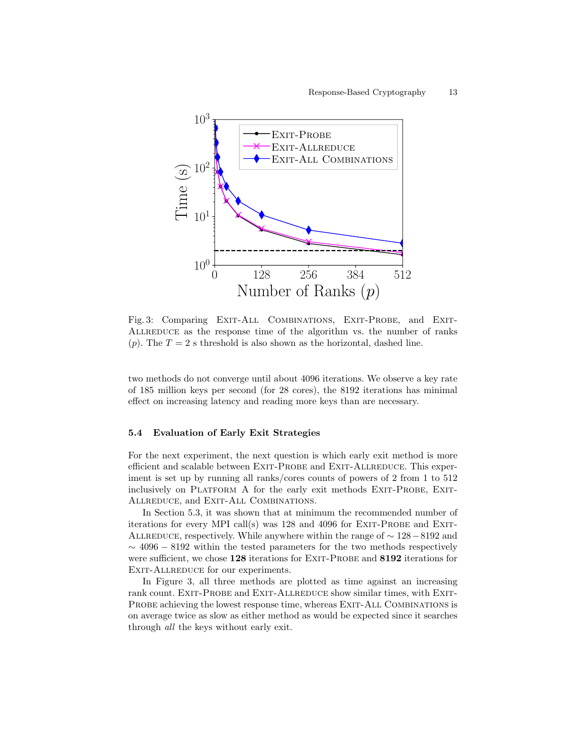<span id="page-12-1"></span>

Fig. 3: Comparing EXIT-ALL COMBINATIONS, EXIT-PROBE, and EXIT-ALLREDUCE as the response time of the algorithm vs. the number of ranks (p). The  $T = 2$  s threshold is also shown as the horizontal, dashed line.

two methods do not converge until about 4096 iterations. We observe a key rate of 185 million keys per second (for 28 cores), the 8192 iterations has minimal effect on increasing latency and reading more keys than are necessary.

## <span id="page-12-0"></span>5.4 Evaluation of Early Exit Strategies

For the next experiment, the next question is which early exit method is more efficient and scalable between EXIT-PROBE and EXIT-ALLREDUCE. This experiment is set up by running all ranks/cores counts of powers of 2 from 1 to 512 inclusively on PLATFORM A for the early exit methods EXIT-PROBE, EXIT-ALLREDUCE, and EXIT-ALL COMBINATIONS.

In Section [5.3,](#page-11-0) it was shown that at minimum the recommended number of iterations for every MPI call(s) was  $128$  and  $4096$  for EXIT-PROBE and EXIT-ALLREDUCE, respectively. While anywhere within the range of  $\sim 128-8192$  and  $\sim$  4096 – 8192 within the tested parameters for the two methods respectively were sufficient, we chose 128 iterations for EXIT-PROBE and 8192 iterations for EXIT-ALLREDUCE for our experiments.

In Figure [3,](#page-12-1) all three methods are plotted as time against an increasing rank count. EXIT-PROBE and EXIT-ALLREDUCE show similar times, with EXIT-PROBE achieving the lowest response time, whereas EXIT-ALL COMBINATIONS is on average twice as slow as either method as would be expected since it searches through all the keys without early exit.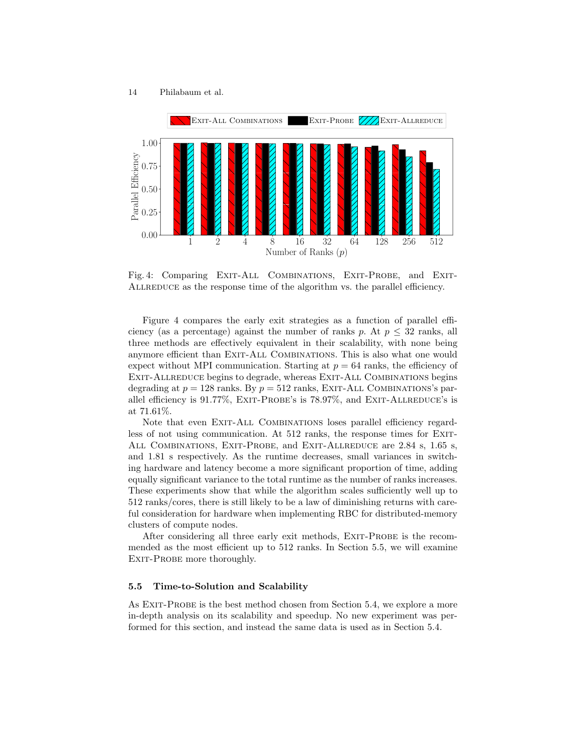<span id="page-13-1"></span>

Fig. 4: Comparing EXIT-ALL COMBINATIONS, EXIT-PROBE, and EXIT-ALLREDUCE as the response time of the algorithm vs. the parallel efficiency.

Figure [4](#page-13-1) compares the early exit strategies as a function of parallel efficiency (as a percentage) against the number of ranks p. At  $p \leq 32$  ranks, all three methods are effectively equivalent in their scalability, with none being anymore efficient than Exit-All Combinations. This is also what one would expect without MPI communication. Starting at  $p = 64$  ranks, the efficiency of EXIT-ALLREDUCE begins to degrade, whereas EXIT-ALL COMBINATIONS begins degrading at  $p = 128$  ranks. By  $p = 512$  ranks, EXIT-ALL COMBINATIONS's parallel efficiency is  $91.77\%$ , EXIT-PROBE's is  $78.97\%$ , and EXIT-ALLREDUCE's is at 71.61%.

Note that even EXIT-ALL COMBINATIONS loses parallel efficiency regardless of not using communication. At 512 ranks, the response times for EXIT-ALL COMBINATIONS, EXIT-PROBE, and EXIT-ALLREDUCE are 2.84 s, 1.65 s, and 1.81 s respectively. As the runtime decreases, small variances in switching hardware and latency become a more significant proportion of time, adding equally significant variance to the total runtime as the number of ranks increases. These experiments show that while the algorithm scales sufficiently well up to 512 ranks/cores, there is still likely to be a law of diminishing returns with careful consideration for hardware when implementing RBC for distributed-memory clusters of compute nodes.

After considering all three early exit methods, EXIT-PROBE is the recommended as the most efficient up to 512 ranks. In Section [5.5,](#page-13-0) we will examine EXIT-PROBE more thoroughly.

#### <span id="page-13-0"></span>5.5 Time-to-Solution and Scalability

As EXIT-PROBE is the best method chosen from Section [5.4,](#page-12-0) we explore a more in-depth analysis on its scalability and speedup. No new experiment was performed for this section, and instead the same data is used as in Section [5.4.](#page-12-0)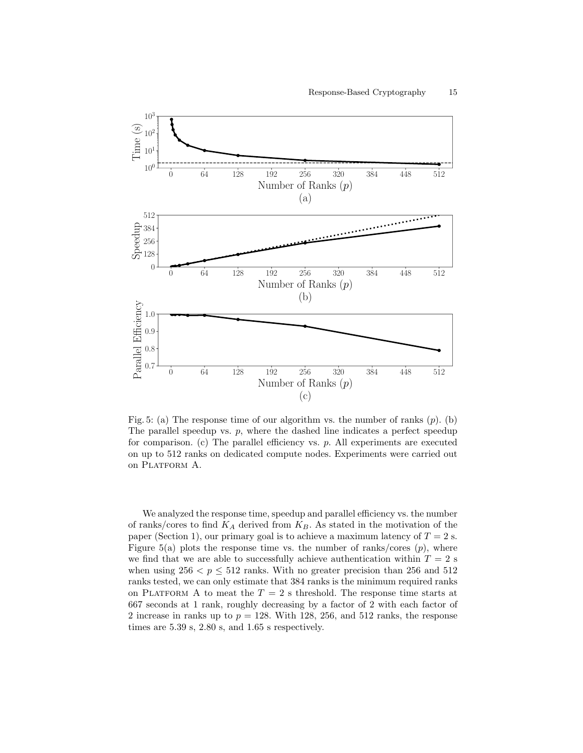<span id="page-14-0"></span>

Fig. 5: (a) The response time of our algorithm vs. the number of ranks  $(p)$ . (b) The parallel speedup vs.  $p$ , where the dashed line indicates a perfect speedup for comparison. (c) The parallel efficiency vs.  $p$ . All experiments are executed on up to 512 ranks on dedicated compute nodes. Experiments were carried out on PLATFORM A.

We analyzed the response time, speedup and parallel efficiency vs. the number of ranks/cores to find  $K_A$  derived from  $K_B$ . As stated in the motivation of the paper (Section [1\)](#page-0-0), our primary goal is to achieve a maximum latency of  $T = 2$  s. Figure [5\(](#page-14-0)a) plots the response time vs. the number of ranks/cores  $(p)$ , where we find that we are able to successfully achieve authentication within  $T = 2$  s when using  $256 < p \leq 512$  ranks. With no greater precision than 256 and 512 ranks tested, we can only estimate that 384 ranks is the minimum required ranks on PLATFORM A to meat the  $T = 2$  s threshold. The response time starts at 667 seconds at 1 rank, roughly decreasing by a factor of 2 with each factor of 2 increase in ranks up to  $p = 128$ . With 128, 256, and 512 ranks, the response times are 5.39 s, 2.80 s, and 1.65 s respectively.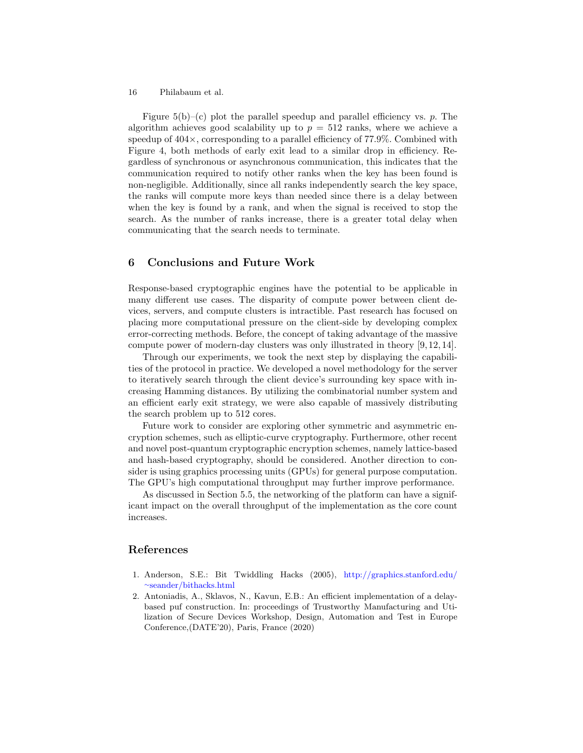Figure  $5(b)$  $5(b)$ –(c) plot the parallel speedup and parallel efficiency vs. p. The algorithm achieves good scalability up to  $p = 512$  ranks, where we achieve a speedup of  $404\times$ , corresponding to a parallel efficiency of 77.9%. Combined with Figure [4,](#page-13-1) both methods of early exit lead to a similar drop in efficiency. Regardless of synchronous or asynchronous communication, this indicates that the communication required to notify other ranks when the key has been found is non-negligible. Additionally, since all ranks independently search the key space, the ranks will compute more keys than needed since there is a delay between when the key is found by a rank, and when the signal is received to stop the search. As the number of ranks increase, there is a greater total delay when communicating that the search needs to terminate.

# <span id="page-15-1"></span>6 Conclusions and Future Work

Response-based cryptographic engines have the potential to be applicable in many different use cases. The disparity of compute power between client devices, servers, and compute clusters is intractible. Past research has focused on placing more computational pressure on the client-side by developing complex error-correcting methods. Before, the concept of taking advantage of the massive compute power of modern-day clusters was only illustrated in theory [\[9,](#page-16-7) [12,](#page-16-8) [14\]](#page-16-9).

Through our experiments, we took the next step by displaying the capabilities of the protocol in practice. We developed a novel methodology for the server to iteratively search through the client device's surrounding key space with increasing Hamming distances. By utilizing the combinatorial number system and an efficient early exit strategy, we were also capable of massively distributing the search problem up to 512 cores.

Future work to consider are exploring other symmetric and asymmetric encryption schemes, such as elliptic-curve cryptography. Furthermore, other recent and novel post-quantum cryptographic encryption schemes, namely lattice-based and hash-based cryptography, should be considered. Another direction to consider is using graphics processing units (GPUs) for general purpose computation. The GPU's high computational throughput may further improve performance.

As discussed in Section [5.5,](#page-13-0) the networking of the platform can have a significant impact on the overall throughput of the implementation as the core count increases.

# References

- <span id="page-15-2"></span>1. Anderson, S.E.: Bit Twiddling Hacks (2005), [http://graphics.stanford.edu/](http://graphics.stanford.edu/~seander/bithacks.html) <sup>∼</sup>[seander/bithacks.html](http://graphics.stanford.edu/~seander/bithacks.html)
- <span id="page-15-0"></span>2. Antoniadis, A., Sklavos, N., Kavun, E.B.: An efficient implementation of a delaybased puf construction. In: proceedings of Trustworthy Manufacturing and Utilization of Secure Devices Workshop, Design, Automation and Test in Europe Conference,(DATE'20), Paris, France (2020)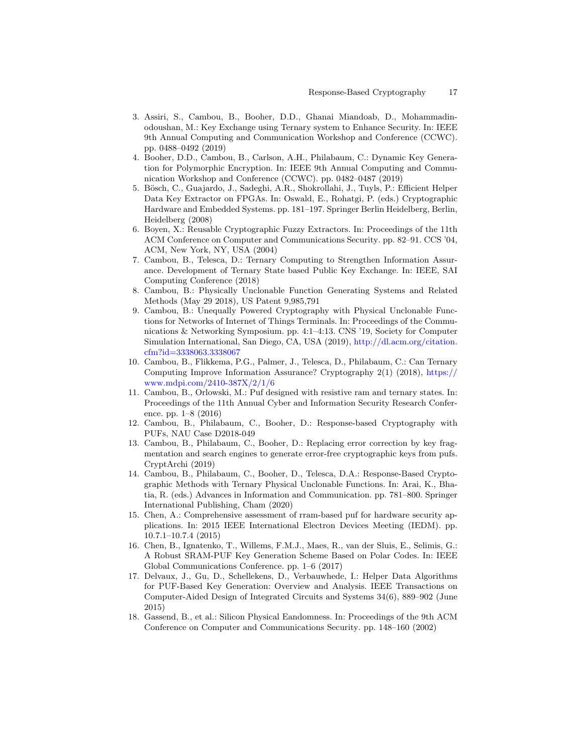- <span id="page-16-10"></span>3. Assiri, S., Cambou, B., Booher, D.D., Ghanai Miandoab, D., Mohammadinodoushan, M.: Key Exchange using Ternary system to Enhance Security. In: IEEE 9th Annual Computing and Communication Workshop and Conference (CCWC). pp. 0488–0492 (2019)
- <span id="page-16-11"></span>4. Booher, D.D., Cambou, B., Carlson, A.H., Philabaum, C.: Dynamic Key Generation for Polymorphic Encryption. In: IEEE 9th Annual Computing and Communication Workshop and Conference (CCWC). pp. 0482–0487 (2019)
- <span id="page-16-3"></span>5. Bösch, C., Guajardo, J., Sadeghi, A.R., Shokrollahi, J., Tuyls, P.: Efficient Helper Data Key Extractor on FPGAs. In: Oswald, E., Rohatgi, P. (eds.) Cryptographic Hardware and Embedded Systems. pp. 181–197. Springer Berlin Heidelberg, Berlin, Heidelberg (2008)
- <span id="page-16-4"></span>6. Boyen, X.: Reusable Cryptographic Fuzzy Extractors. In: Proceedings of the 11th ACM Conference on Computer and Communications Security. pp. 82–91. CCS '04, ACM, New York, NY, USA (2004)
- <span id="page-16-12"></span>7. Cambou, B., Telesca, D.: Ternary Computing to Strengthen Information Assurance. Development of Ternary State based Public Key Exchange. In: IEEE, SAI Computing Conference (2018)
- <span id="page-16-13"></span>8. Cambou, B.: Physically Unclonable Function Generating Systems and Related Methods (May 29 2018), US Patent 9,985,791
- <span id="page-16-7"></span>9. Cambou, B.: Unequally Powered Cryptography with Physical Unclonable Functions for Networks of Internet of Things Terminals. In: Proceedings of the Communications & Networking Symposium. pp. 4:1–4:13. CNS '19, Society for Computer Simulation International, San Diego, CA, USA (2019), [http://dl.acm.org/citation.](http://dl.acm.org/citation.cfm?id=3338063.3338067) [cfm?id=3338063.3338067](http://dl.acm.org/citation.cfm?id=3338063.3338067)
- <span id="page-16-14"></span>10. Cambou, B., Flikkema, P.G., Palmer, J., Telesca, D., Philabaum, C.: Can Ternary Computing Improve Information Assurance? Cryptography 2(1) (2018), [https://](https://www.mdpi.com/2410-387X/2/1/6) [www.mdpi.com/2410-387X/2/1/6](https://www.mdpi.com/2410-387X/2/1/6)
- <span id="page-16-1"></span>11. Cambou, B., Orlowski, M.: Puf designed with resistive ram and ternary states. In: Proceedings of the 11th Annual Cyber and Information Security Research Conference. pp. 1–8 (2016)
- <span id="page-16-8"></span>12. Cambou, B., Philabaum, C., Booher, D.: Response-based Cryptography with PUFs, NAU Case D2018-049
- 13. Cambou, B., Philabaum, C., Booher, D.: Replacing error correction by key fragmentation and search engines to generate error-free cryptographic keys from pufs. CryptArchi (2019)
- <span id="page-16-9"></span>14. Cambou, B., Philabaum, C., Booher, D., Telesca, D.A.: Response-Based Cryptographic Methods with Ternary Physical Unclonable Functions. In: Arai, K., Bhatia, R. (eds.) Advances in Information and Communication. pp. 781–800. Springer International Publishing, Cham (2020)
- <span id="page-16-2"></span>15. Chen, A.: Comprehensive assessment of rram-based puf for hardware security applications. In: 2015 IEEE International Electron Devices Meeting (IEDM). pp. 10.7.1–10.7.4 (2015)
- <span id="page-16-5"></span>16. Chen, B., Ignatenko, T., Willems, F.M.J., Maes, R., van der Sluis, E., Selimis, G.: A Robust SRAM-PUF Key Generation Scheme Based on Polar Codes. In: IEEE Global Communications Conference. pp. 1–6 (2017)
- <span id="page-16-6"></span>17. Delvaux, J., Gu, D., Schellekens, D., Verbauwhede, I.: Helper Data Algorithms for PUF-Based Key Generation: Overview and Analysis. IEEE Transactions on Computer-Aided Design of Integrated Circuits and Systems 34(6), 889–902 (June 2015)
- <span id="page-16-0"></span>18. Gassend, B., et al.: Silicon Physical Eandomness. In: Proceedings of the 9th ACM Conference on Computer and Communications Security. pp. 148–160 (2002)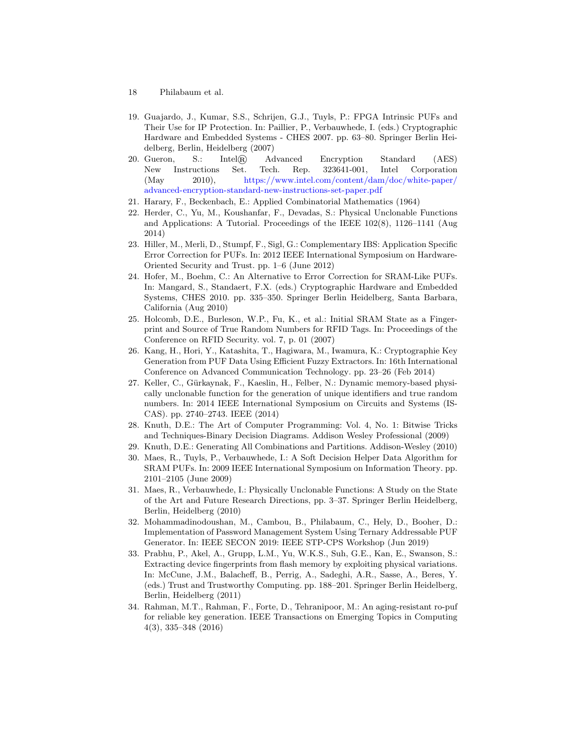- 18 Philabaum et al.
- <span id="page-17-3"></span>19. Guajardo, J., Kumar, S.S., Schrijen, G.J., Tuyls, P.: FPGA Intrinsic PUFs and Their Use for IP Protection. In: Paillier, P., Verbauwhede, I. (eds.) Cryptographic Hardware and Embedded Systems - CHES 2007. pp. 63–80. Springer Berlin Heidelberg, Berlin, Heidelberg (2007)
- <span id="page-17-15"></span>20. Gueron, S.: Intel® Advanced Encryption Standard (AES) New Instructions Set. Tech. Rep. 323641-001, Intel Corporation (May 2010), [https://www.intel.com/content/dam/doc/white-paper/](https://www.intel.com/content/dam/doc/white-paper/advanced-encryption-standard-new-instructions-set-paper.pdf) [advanced-encryption-standard-new-instructions-set-paper.pdf](https://www.intel.com/content/dam/doc/white-paper/advanced-encryption-standard-new-instructions-set-paper.pdf)
- <span id="page-17-12"></span>21. Harary, F., Beckenbach, E.: Applied Combinatorial Mathematics (1964)
- <span id="page-17-0"></span>22. Herder, C., Yu, M., Koushanfar, F., Devadas, S.: Physical Unclonable Functions and Applications: A Tutorial. Proceedings of the IEEE 102(8), 1126–1141 (Aug 2014)
- <span id="page-17-7"></span>23. Hiller, M., Merli, D., Stumpf, F., Sigl, G.: Complementary IBS: Application Specific Error Correction for PUFs. In: 2012 IEEE International Symposium on Hardware-Oriented Security and Trust. pp. 1–6 (June 2012)
- <span id="page-17-10"></span>24. Hofer, M., Boehm, C.: An Alternative to Error Correction for SRAM-Like PUFs. In: Mangard, S., Standaert, F.X. (eds.) Cryptographic Hardware and Embedded Systems, CHES 2010. pp. 335–350. Springer Berlin Heidelberg, Santa Barbara, California (Aug 2010)
- <span id="page-17-4"></span>25. Holcomb, D.E., Burleson, W.P., Fu, K., et al.: Initial SRAM State as a Fingerprint and Source of True Random Numbers for RFID Tags. In: Proceedings of the Conference on RFID Security. vol. 7, p. 01 (2007)
- <span id="page-17-8"></span>26. Kang, H., Hori, Y., Katashita, T., Hagiwara, M., Iwamura, K.: Cryptographie Key Generation from PUF Data Using Efficient Fuzzy Extractors. In: 16th International Conference on Advanced Communication Technology. pp. 23–26 (Feb 2014)
- <span id="page-17-5"></span>27. Keller, C., Gürkaynak, F., Kaeslin, H., Felber, N.: Dynamic memory-based physically unclonable function for the generation of unique identifiers and true random numbers. In: 2014 IEEE International Symposium on Circuits and Systems (IS-CAS). pp. 2740–2743. IEEE (2014)
- <span id="page-17-14"></span>28. Knuth, D.E.: The Art of Computer Programming: Vol. 4, No. 1: Bitwise Tricks and Techniques-Binary Decision Diagrams. Addison Wesley Professional (2009)
- <span id="page-17-13"></span>29. Knuth, D.E.: Generating All Combinations and Partitions. Addison-Wesley (2010)
- <span id="page-17-9"></span>30. Maes, R., Tuyls, P., Verbauwhede, I.: A Soft Decision Helper Data Algorithm for SRAM PUFs. In: 2009 IEEE International Symposium on Information Theory. pp. 2101–2105 (June 2009)
- <span id="page-17-1"></span>31. Maes, R., Verbauwhede, I.: Physically Unclonable Functions: A Study on the State of the Art and Future Research Directions, pp. 3–37. Springer Berlin Heidelberg, Berlin, Heidelberg (2010)
- <span id="page-17-11"></span>32. Mohammadinodoushan, M., Cambou, B., Philabaum, C., Hely, D., Booher, D.: Implementation of Password Management System Using Ternary Addressable PUF Generator. In: IEEE SECON 2019: IEEE STP-CPS Workshop (Jun 2019)
- <span id="page-17-2"></span>33. Prabhu, P., Akel, A., Grupp, L.M., Yu, W.K.S., Suh, G.E., Kan, E., Swanson, S.: Extracting device fingerprints from flash memory by exploiting physical variations. In: McCune, J.M., Balacheff, B., Perrig, A., Sadeghi, A.R., Sasse, A., Beres, Y. (eds.) Trust and Trustworthy Computing. pp. 188–201. Springer Berlin Heidelberg, Berlin, Heidelberg (2011)
- <span id="page-17-6"></span>34. Rahman, M.T., Rahman, F., Forte, D., Tehranipoor, M.: An aging-resistant ro-puf for reliable key generation. IEEE Transactions on Emerging Topics in Computing 4(3), 335–348 (2016)